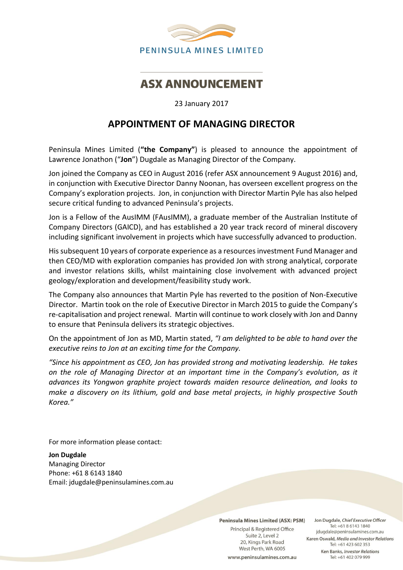

## **ASX ANNOUNCEMENT**

23 January 2017

## **APPOINTMENT OF MANAGING DIRECTOR**

Peninsula Mines Limited (**"the Company"**) is pleased to announce the appointment of Lawrence Jonathon ("**Jon**") Dugdale as Managing Director of the Company.

Jon joined the Company as CEO in August 2016 (refer ASX announcement 9 August 2016) and, in conjunction with Executive Director Danny Noonan, has overseen excellent progress on the Company's exploration projects. Jon, in conjunction with Director Martin Pyle has also helped secure critical funding to advanced Peninsula's projects.

Jon is a Fellow of the AusIMM (FAusIMM), a graduate member of the Australian Institute of Company Directors (GAICD), and has established a 20 year track record of mineral discovery including significant involvement in projects which have successfully advanced to production.

His subsequent 10 years of corporate experience as a resources investment Fund Manager and then CEO/MD with exploration companies has provided Jon with strong analytical, corporate and investor relations skills, whilst maintaining close involvement with advanced project geology/exploration and development/feasibility study work.

The Company also announces that Martin Pyle has reverted to the position of Non-Executive Director. Martin took on the role of Executive Director in March 2015 to guide the Company's re-capitalisation and project renewal. Martin will continue to work closely with Jon and Danny to ensure that Peninsula delivers its strategic objectives.

On the appointment of Jon as MD, Martin stated, *"I am delighted to be able to hand over the executive reins to Jon at an exciting time for the Company.* 

*"Since his appointment as CEO, Jon has provided strong and motivating leadership. He takes on the role of Managing Director at an important time in the Company's evolution, as it advances its Yongwon graphite project towards maiden resource delineation, and looks to make a discovery on its lithium, gold and base metal projects, in highly prospective South Korea."*

For more information please contact:

**Jon Dugdale** Managing Director Phone: +61 8 6143 1840 Email: jdugdale@peninsulamines.com.au

Peninsula Mines Limited (ASX: PSM)

Principal & Registered Office Suite 2, Level 2 20, Kings Park Road West Perth, WA 6005 www.peninsulamines.com.au

Jon Dugdale, Chief Executive Officer Tel: +61 8 6143 1840 jdugdale@peninsulamines.com.au Karen Oswald, Media and Investor Relations Tel: +61 423 602 353 Ken Banks, Investor Relations Tel: +61 402 079 999